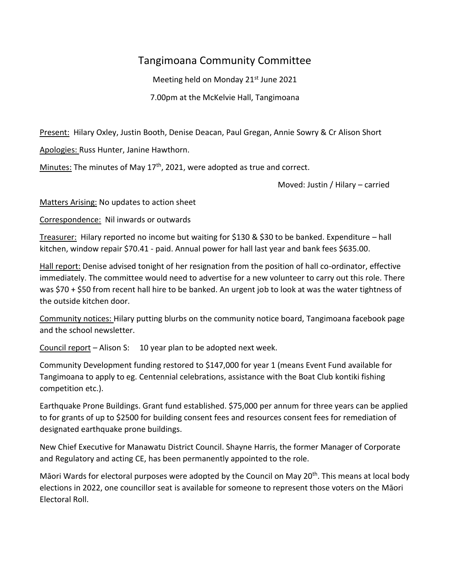## Tangimoana Community Committee

Meeting held on Monday 21<sup>st</sup> June 2021

7.00pm at the McKelvie Hall, Tangimoana

Present: Hilary Oxley, Justin Booth, Denise Deacan, Paul Gregan, Annie Sowry & Cr Alison Short

Apologies: Russ Hunter, Janine Hawthorn.

Minutes: The minutes of May 17<sup>th</sup>, 2021, were adopted as true and correct.

Moved: Justin / Hilary – carried

Matters Arising: No updates to action sheet

Correspondence: Nil inwards or outwards

Treasurer: Hilary reported no income but waiting for \$130 & \$30 to be banked. Expenditure – hall kitchen, window repair \$70.41 - paid. Annual power for hall last year and bank fees \$635.00.

Hall report: Denise advised tonight of her resignation from the position of hall co-ordinator, effective immediately. The committee would need to advertise for a new volunteer to carry out this role. There was \$70 + \$50 from recent hall hire to be banked. An urgent job to look at was the water tightness of the outside kitchen door.

Community notices: Hilary putting blurbs on the community notice board, Tangimoana facebook page and the school newsletter.

Council report – Alison S: 10 year plan to be adopted next week.

Community Development funding restored to \$147,000 for year 1 (means Event Fund available for Tangimoana to apply to eg. Centennial celebrations, assistance with the Boat Club kontiki fishing competition etc.).

Earthquake Prone Buildings. Grant fund established. \$75,000 per annum for three years can be applied to for grants of up to \$2500 for building consent fees and resources consent fees for remediation of designated earthquake prone buildings.

New Chief Executive for Manawatu District Council. Shayne Harris, the former Manager of Corporate and Regulatory and acting CE, has been permanently appointed to the role.

Māori Wards for electoral purposes were adopted by the Council on May 20<sup>th</sup>. This means at local body elections in 2022, one councillor seat is available for someone to represent those voters on the Māori Electoral Roll.